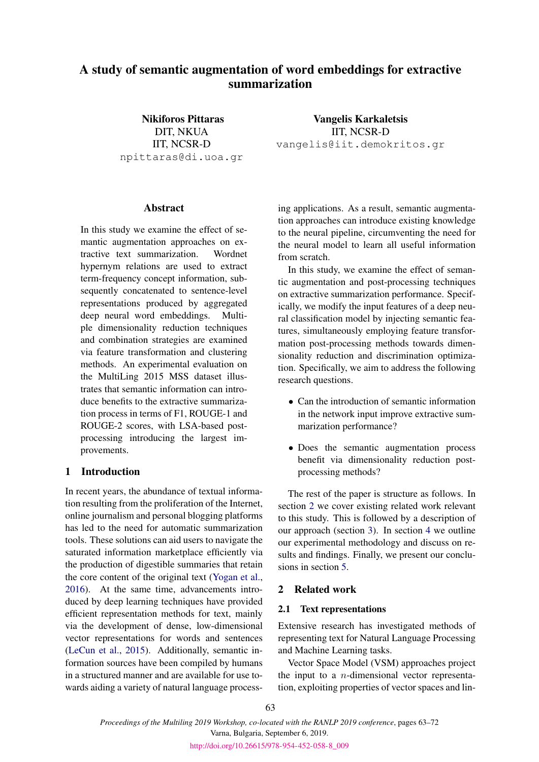# A study of semantic augmentation of word embeddings for extractive summarization

Nikiforos Pittaras DIT, NKUA IIT, NCSR-D npittaras@di.uoa.gr

## Abstract

In this study we examine the effect of semantic augmentation approaches on extractive text summarization. Wordnet hypernym relations are used to extract term-frequency concept information, subsequently concatenated to sentence-level representations produced by aggregated deep neural word embeddings. Multiple dimensionality reduction techniques and combination strategies are examined via feature transformation and clustering methods. An experimental evaluation on the MultiLing 2015 MSS dataset illustrates that semantic information can introduce benefits to the extractive summarization process in terms of F1, ROUGE-1 and ROUGE-2 scores, with LSA-based postprocessing introducing the largest improvements.

# 1 Introduction

In recent years, the abundance of textual information resulting from the proliferation of the Internet, online journalism and personal blogging platforms has led to the need for automatic summarization tools. These solutions can aid users to navigate the saturated information marketplace efficiently via the production of digestible summaries that retain the core content of the original text [\(Yogan et al.,](#page-9-0) [2016\)](#page-9-0). At the same time, advancements introduced by deep learning techniques have provided efficient representation methods for text, mainly via the development of dense, low-dimensional vector representations for words and sentences [\(LeCun et al.,](#page-8-0) [2015\)](#page-8-0). Additionally, semantic information sources have been compiled by humans in a structured manner and are available for use towards aiding a variety of natural language process-

Vangelis Karkaletsis IIT, NCSR-D vangelis@iit.demokritos.gr

ing applications. As a result, semantic augmentation approaches can introduce existing knowledge to the neural pipeline, circumventing the need for the neural model to learn all useful information from scratch.

In this study, we examine the effect of semantic augmentation and post-processing techniques on extractive summarization performance. Specifically, we modify the input features of a deep neural classification model by injecting semantic features, simultaneously employing feature transformation post-processing methods towards dimensionality reduction and discrimination optimization. Specifically, we aim to address the following research questions.

- Can the introduction of semantic information in the network input improve extractive summarization performance?
- Does the semantic augmentation process benefit via dimensionality reduction postprocessing methods?

The rest of the paper is structure as follows. In section [2](#page-0-0) we cover existing related work relevant to this study. This is followed by a description of our approach (section [3\)](#page-2-0). In section [4](#page-2-1) we outline our experimental methodology and discuss on results and findings. Finally, we present our conclusions in section [5.](#page-6-0)

# <span id="page-0-0"></span>2 Related work

### 2.1 Text representations

Extensive research has investigated methods of representing text for Natural Language Processing and Machine Learning tasks.

Vector Space Model (VSM) approaches project the input to a  $n$ -dimensional vector representation, exploiting properties of vector spaces and lin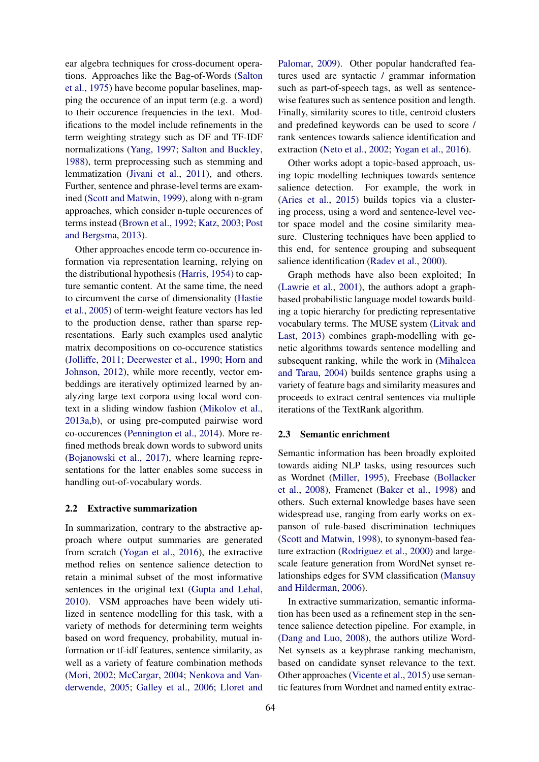ear algebra techniques for cross-document operations. Approaches like the Bag-of-Words [\(Salton](#page-9-1) [et al.,](#page-9-1) [1975\)](#page-9-1) have become popular baselines, mapping the occurence of an input term (e.g. a word) to their occurence frequencies in the text. Modifications to the model include refinements in the term weighting strategy such as DF and TF-IDF normalizations [\(Yang,](#page-9-2) [1997;](#page-9-2) [Salton and Buckley,](#page-9-3) [1988\)](#page-9-3), term preprocessing such as stemming and lemmatization [\(Jivani et al.,](#page-8-1) [2011\)](#page-8-1), and others. Further, sentence and phrase-level terms are examined [\(Scott and Matwin,](#page-9-4) [1999\)](#page-9-4), along with n-gram approaches, which consider n-tuple occurences of terms instead [\(Brown et al.,](#page-7-0) [1992;](#page-7-0) [Katz,](#page-8-2) [2003;](#page-8-2) [Post](#page-8-3) [and Bergsma,](#page-8-3) [2013\)](#page-8-3).

Other approaches encode term co-occurence information via representation learning, relying on the distributional hypothesis [\(Harris,](#page-7-1) [1954\)](#page-7-1) to capture semantic content. At the same time, the need to circumvent the curse of dimensionality [\(Hastie](#page-7-2) [et al.,](#page-7-2) [2005\)](#page-7-2) of term-weight feature vectors has led to the production dense, rather than sparse representations. Early such examples used analytic matrix decompositions on co-occurence statistics [\(Jolliffe,](#page-8-4) [2011;](#page-8-4) [Deerwester et al.,](#page-7-3) [1990;](#page-7-3) [Horn and](#page-8-5) [Johnson,](#page-8-5) [2012\)](#page-8-5), while more recently, vector embeddings are iteratively optimized learned by analyzing large text corpora using local word context in a sliding window fashion [\(Mikolov et al.,](#page-8-6) [2013a](#page-8-6)[,b\)](#page-8-7), or using pre-computed pairwise word co-occurences [\(Pennington et al.,](#page-8-8) [2014\)](#page-8-8). More refined methods break down words to subword units [\(Bojanowski et al.,](#page-7-4) [2017\)](#page-7-4), where learning representations for the latter enables some success in handling out-of-vocabulary words.

### 2.2 Extractive summarization

In summarization, contrary to the abstractive approach where output summaries are generated from scratch [\(Yogan et al.,](#page-9-0) [2016\)](#page-9-0), the extractive method relies on sentence salience detection to retain a minimal subset of the most informative sentences in the original text [\(Gupta and Lehal,](#page-7-5) [2010\)](#page-7-5). VSM approaches have been widely utilized in sentence modelling for this task, with a variety of methods for determining term weights based on word frequency, probability, mutual information or tf-idf features, sentence similarity, as well as a variety of feature combination methods [\(Mori,](#page-8-9) [2002;](#page-8-9) [McCargar,](#page-8-10) [2004;](#page-8-10) [Nenkova and Van](#page-8-11)[derwende,](#page-8-11) [2005;](#page-8-11) [Galley et al.,](#page-7-6) [2006;](#page-7-6) [Lloret and](#page-8-12)

[Palomar,](#page-8-12) [2009\)](#page-8-12). Other popular handcrafted features used are syntactic / grammar information such as part-of-speech tags, as well as sentencewise features such as sentence position and length. Finally, similarity scores to title, centroid clusters and predefined keywords can be used to score / rank sentences towards salience identification and extraction [\(Neto et al.,](#page-8-13) [2002;](#page-8-13) [Yogan et al.,](#page-9-0) [2016\)](#page-9-0).

Other works adopt a topic-based approach, using topic modelling techniques towards sentence salience detection. For example, the work in [\(Aries et al.,](#page-7-7) [2015\)](#page-7-7) builds topics via a clustering process, using a word and sentence-level vector space model and the cosine similarity measure. Clustering techniques have been applied to this end, for sentence grouping and subsequent salience identification [\(Radev et al.,](#page-9-5) [2000\)](#page-9-5).

Graph methods have also been exploited; In [\(Lawrie et al.,](#page-8-14) [2001\)](#page-8-14), the authors adopt a graphbased probabilistic language model towards building a topic hierarchy for predicting representative vocabulary terms. The MUSE system [\(Litvak and](#page-8-15) [Last,](#page-8-15) [2013\)](#page-8-15) combines graph-modelling with genetic algorithms towards sentence modelling and subsequent ranking, while the work in [\(Mihalcea](#page-8-16) [and Tarau,](#page-8-16) [2004\)](#page-8-16) builds sentence graphs using a variety of feature bags and similarity measures and proceeds to extract central sentences via multiple iterations of the TextRank algorithm.

### 2.3 Semantic enrichment

Semantic information has been broadly exploited towards aiding NLP tasks, using resources such as Wordnet [\(Miller,](#page-8-17) [1995\)](#page-8-17), Freebase [\(Bollacker](#page-7-8) [et al.,](#page-7-8) [2008\)](#page-7-8), Framenet [\(Baker et al.,](#page-7-9) [1998\)](#page-7-9) and others. Such external knowledge bases have seen widespread use, ranging from early works on expanson of rule-based discrimination techniques [\(Scott and Matwin,](#page-9-6) [1998\)](#page-9-6), to synonym-based feature extraction [\(Rodriguez et al.,](#page-9-7) [2000\)](#page-9-7) and largescale feature generation from WordNet synset relationships edges for SVM classification [\(Mansuy](#page-8-18) [and Hilderman,](#page-8-18) [2006\)](#page-8-18).

In extractive summarization, semantic information has been used as a refinement step in the sentence salience detection pipeline. For example, in [\(Dang and Luo,](#page-7-10) [2008\)](#page-7-10), the authors utilize Word-Net synsets as a keyphrase ranking mechanism, based on candidate synset relevance to the text. Other approaches [\(Vicente et al.,](#page-9-8) [2015\)](#page-9-8) use semantic features from Wordnet and named entity extrac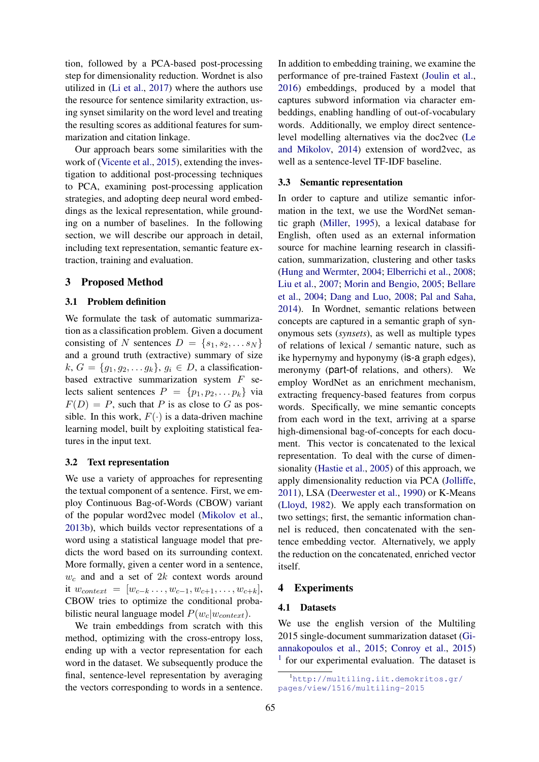tion, followed by a PCA-based post-processing step for dimensionality reduction. Wordnet is also utilized in [\(Li et al.,](#page-8-19) [2017\)](#page-8-19) where the authors use the resource for sentence similarity extraction, using synset similarity on the word level and treating the resulting scores as additional features for summarization and citation linkage.

Our approach bears some similarities with the work of [\(Vicente et al.,](#page-9-8) [2015\)](#page-9-8), extending the investigation to additional post-processing techniques to PCA, examining post-processing application strategies, and adopting deep neural word embeddings as the lexical representation, while grounding on a number of baselines. In the following section, we will describe our approach in detail, including text representation, semantic feature extraction, training and evaluation.

# <span id="page-2-0"></span>3 Proposed Method

### 3.1 Problem definition

We formulate the task of automatic summarization as a classification problem. Given a document consisting of N sentences  $D = \{s_1, s_2, \dots s_N\}$ and a ground truth (extractive) summary of size  $k, G = \{g_1, g_2, \ldots g_k\}, g_i \in D$ , a classificationbased extractive summarization system  $F$  selects salient sentences  $P = \{p_1, p_2, \ldots, p_k\}$  via  $F(D) = P$ , such that P is as close to G as possible. In this work,  $F(\cdot)$  is a data-driven machine learning model, built by exploiting statistical features in the input text.

### 3.2 Text representation

We use a variety of approaches for representing the textual component of a sentence. First, we employ Continuous Bag-of-Words (CBOW) variant of the popular word2vec model [\(Mikolov et al.,](#page-8-7) [2013b\)](#page-8-7), which builds vector representations of a word using a statistical language model that predicts the word based on its surrounding context. More formally, given a center word in a sentence,  $w_c$  and and a set of  $2k$  context words around it  $w_{context} = [w_{c-k} \ldots, w_{c-1}, w_{c+1}, \ldots, w_{c+k}],$ CBOW tries to optimize the conditional probabilistic neural language model  $P(w_c|w_{context})$ .

We train embeddings from scratch with this method, optimizing with the cross-entropy loss, ending up with a vector representation for each word in the dataset. We subsequently produce the final, sentence-level representation by averaging the vectors corresponding to words in a sentence.

In addition to embedding training, we examine the performance of pre-trained Fastext [\(Joulin et al.,](#page-8-20) [2016\)](#page-8-20) embeddings, produced by a model that captures subword information via character embeddings, enabling handling of out-of-vocabulary words. Additionally, we employ direct sentencelevel modelling alternatives via the doc2vec [\(Le](#page-8-21) [and Mikolov,](#page-8-21) [2014\)](#page-8-21) extension of word2vec, as well as a sentence-level TF-IDF baseline.

#### 3.3 Semantic representation

In order to capture and utilize semantic information in the text, we use the WordNet semantic graph [\(Miller,](#page-8-17) [1995\)](#page-8-17), a lexical database for English, often used as an external information source for machine learning research in classification, summarization, clustering and other tasks [\(Hung and Wermter,](#page-8-22) [2004;](#page-8-22) [Elberrichi et al.,](#page-7-11) [2008;](#page-7-11) [Liu et al.,](#page-8-23) [2007;](#page-8-23) [Morin and Bengio,](#page-8-24) [2005;](#page-8-24) [Bellare](#page-7-12) [et al.,](#page-7-12) [2004;](#page-7-12) [Dang and Luo,](#page-7-10) [2008;](#page-7-10) [Pal and Saha,](#page-8-25) [2014\)](#page-8-25). In Wordnet, semantic relations between concepts are captured in a semantic graph of synonymous sets (*synsets*), as well as multiple types of relations of lexical / semantic nature, such as ike hypernymy and hyponymy (is-a graph edges), meronymy (part-of relations, and others). We employ WordNet as an enrichment mechanism, extracting frequency-based features from corpus words. Specifically, we mine semantic concepts from each word in the text, arriving at a sparse high-dimensional bag-of-concepts for each document. This vector is concatenated to the lexical representation. To deal with the curse of dimensionality [\(Hastie et al.,](#page-7-2) [2005\)](#page-7-2) of this approach, we apply dimensionality reduction via PCA [\(Jolliffe,](#page-8-4) [2011\)](#page-8-4), LSA [\(Deerwester et al.,](#page-7-3) [1990\)](#page-7-3) or K-Means [\(Lloyd,](#page-8-26) [1982\)](#page-8-26). We apply each transformation on two settings; first, the semantic information channel is reduced, then concatenated with the sentence embedding vector. Alternatively, we apply the reduction on the concatenated, enriched vector itself.

### <span id="page-2-1"></span>4 Experiments

### <span id="page-2-3"></span>4.1 Datasets

We use the english version of the Multiling 2015 single-document summarization dataset [\(Gi](#page-7-13)[annakopoulos et al.,](#page-7-13) [2015;](#page-7-13) [Conroy et al.,](#page-7-14) [2015\)](#page-7-14) <sup>[1](#page-2-2)</sup> for our experimental evaluation. The dataset is

<span id="page-2-2"></span><sup>1</sup>[http://multiling.iit.demokritos.gr/](http://multiling.iit.demokritos.gr/pages/view/1516/multiling-2015) [pages/view/1516/multiling-2015](http://multiling.iit.demokritos.gr/pages/view/1516/multiling-2015)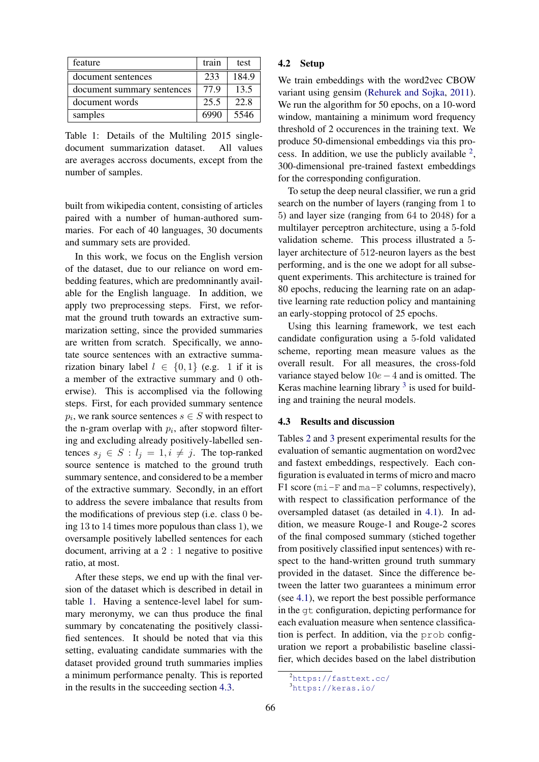| feature                    | train | test  |
|----------------------------|-------|-------|
| document sentences         | 233   | 184.9 |
| document summary sentences | 779   | 13.5  |
| document words             | 25.5  | 22.8  |
| samples                    | 6990  | 5546  |

<span id="page-3-0"></span>Table 1: Details of the Multiling 2015 singledocument summarization dataset. All values are averages accross documents, except from the number of samples.

built from wikipedia content, consisting of articles paired with a number of human-authored summaries. For each of 40 languages, 30 documents and summary sets are provided.

In this work, we focus on the English version of the dataset, due to our reliance on word embedding features, which are predomninantly available for the English language. In addition, we apply two preprocessing steps. First, we reformat the ground truth towards an extractive summarization setting, since the provided summaries are written from scratch. Specifically, we annotate source sentences with an extractive summarization binary label  $l \in \{0, 1\}$  (e.g. 1 if it is a member of the extractive summary and 0 otherwise). This is accomplised via the following steps. First, for each provided summary sentence  $p_i$ , we rank source sentences  $s \in S$  with respect to the n-gram overlap with  $p_i$ , after stopword filtering and excluding already positively-labelled sentences  $s_j \in S : l_j = 1, i \neq j$ . The top-ranked source sentence is matched to the ground truth summary sentence, and considered to be a member of the extractive summary. Secondly, in an effort to address the severe imbalance that results from the modifications of previous step (i.e. class 0 being 13 to 14 times more populous than class 1), we oversample positively labelled sentences for each document, arriving at a 2 : 1 negative to positive ratio, at most.

After these steps, we end up with the final version of the dataset which is described in detail in table [1.](#page-3-0) Having a sentence-level label for summary meronymy, we can thus produce the final summary by concatenating the positively classified sentences. It should be noted that via this setting, evaluating candidate summaries with the dataset provided ground truth summaries implies a minimum performance penalty. This is reported in the results in the succeeding section [4.3.](#page-3-1)

## 4.2 Setup

We train embeddings with the word2vec CBOW variant using gensim [\(Rehurek and Sojka,](#page-9-9) [2011\)](#page-9-9). We run the algorithm for 50 epochs, on a 10-word window, mantaining a minimum word frequency threshold of 2 occurences in the training text. We produce 50-dimensional embeddings via this process. In addition, we use the publicly available  $2$ , 300-dimensional pre-trained fastext embeddings for the corresponding configuration.

To setup the deep neural classifier, we run a grid search on the number of layers (ranging from 1 to 5) and layer size (ranging from 64 to 2048) for a multilayer perceptron architecture, using a 5-fold validation scheme. This process illustrated a 5 layer architecture of 512-neuron layers as the best performing, and is the one we adopt for all subsequent experiments. This architecture is trained for 80 epochs, reducing the learning rate on an adaptive learning rate reduction policy and mantaining an early-stopping protocol of 25 epochs.

Using this learning framework, we test each candidate configuration using a 5-fold validated scheme, reporting mean measure values as the overall result. For all measures, the cross-fold variance stayed below 10e−4 and is omitted. The Keras machine learning library  $3$  is used for building and training the neural models.

#### <span id="page-3-1"></span>4.3 Results and discussion

Tables [2](#page-5-0) and [3](#page-5-1) present experimental results for the evaluation of semantic augmentation on word2vec and fastext embeddings, respectively. Each configuration is evaluated in terms of micro and macro F1 score (mi-F and ma-F columns, respectively), with respect to classification performance of the oversampled dataset (as detailed in [4.1\)](#page-2-3). In addition, we measure Rouge-1 and Rouge-2 scores of the final composed summary (stiched together from positively classified input sentences) with respect to the hand-written ground truth summary provided in the dataset. Since the difference between the latter two guarantees a minimum error (see [4.1\)](#page-2-3), we report the best possible performance in the gt configuration, depicting performance for each evaluation measure when sentence classification is perfect. In addition, via the prob configuration we report a probabilistic baseline classifier, which decides based on the label distribution

<span id="page-3-2"></span><sup>2</sup><https://fasttext.cc/>

<span id="page-3-3"></span><sup>3</sup><https://keras.io/>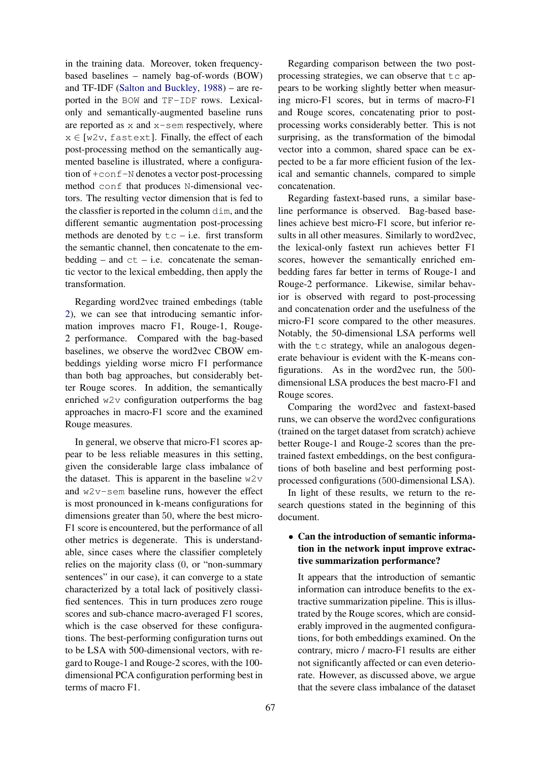in the training data. Moreover, token frequencybased baselines – namely bag-of-words (BOW) and TF-IDF [\(Salton and Buckley,](#page-9-3) [1988\)](#page-9-3) – are reported in the BOW and TF-IDF rows. Lexicalonly and semantically-augmented baseline runs are reported as  $x$  and  $x$ -sem respectively, where  $x \in [w2v, \text{fastext}]$ . Finally, the effect of each post-processing method on the semantically augmented baseline is illustrated, where a configuration of +conf-N denotes a vector post-processing method conf that produces N-dimensional vectors. The resulting vector dimension that is fed to the classfier is reported in the column dim, and the different semantic augmentation post-processing methods are denoted by  $tc - i.e.$  first transform the semantic channel, then concatenate to the embedding – and  $ct$  – i.e. concatenate the semantic vector to the lexical embedding, then apply the transformation.

Regarding word2vec trained embedings (table [2\)](#page-5-0), we can see that introducing semantic information improves macro F1, Rouge-1, Rouge-2 performance. Compared with the bag-based baselines, we observe the word2vec CBOW embeddings yielding worse micro F1 performance than both bag approaches, but considerably better Rouge scores. In addition, the semantically enriched w2v configuration outperforms the bag approaches in macro-F1 score and the examined Rouge measures.

In general, we observe that micro-F1 scores appear to be less reliable measures in this setting, given the considerable large class imbalance of the dataset. This is apparent in the baseline  $w2v$ and w2v-sem baseline runs, however the effect is most pronounced in k-means configurations for dimensions greater than 50, where the best micro-F1 score is encountered, but the performance of all other metrics is degenerate. This is understandable, since cases where the classifier completely relies on the majority class (0, or "non-summary sentences" in our case), it can converge to a state characterized by a total lack of positively classified sentences. This in turn produces zero rouge scores and sub-chance macro-averaged F1 scores, which is the case observed for these configurations. The best-performing configuration turns out to be LSA with 500-dimensional vectors, with regard to Rouge-1 and Rouge-2 scores, with the 100 dimensional PCA configuration performing best in terms of macro F1.

Regarding comparison between the two postprocessing strategies, we can observe that  $\pm c$  appears to be working slightly better when measuring micro-F1 scores, but in terms of macro-F1 and Rouge scores, concatenating prior to postprocessing works considerably better. This is not surprising, as the transformation of the bimodal vector into a common, shared space can be expected to be a far more efficient fusion of the lexical and semantic channels, compared to simple concatenation.

Regarding fastext-based runs, a similar baseline performance is observed. Bag-based baselines achieve best micro-F1 score, but inferior results in all other measures. Similarly to word2vec, the lexical-only fastext run achieves better F1 scores, however the semantically enriched embedding fares far better in terms of Rouge-1 and Rouge-2 performance. Likewise, similar behavior is observed with regard to post-processing and concatenation order and the usefulness of the micro-F1 score compared to the other measures. Notably, the 50-dimensional LSA performs well with the tc strategy, while an analogous degenerate behaviour is evident with the K-means configurations. As in the word2vec run, the 500 dimensional LSA produces the best macro-F1 and Rouge scores.

Comparing the word2vec and fastext-based runs, we can observe the word2vec configurations (trained on the target dataset from scratch) achieve better Rouge-1 and Rouge-2 scores than the pretrained fastext embeddings, on the best configurations of both baseline and best performing postprocessed configurations (500-dimensional LSA).

In light of these results, we return to the research questions stated in the beginning of this document.

# • Can the introduction of semantic information in the network input improve extractive summarization performance?

It appears that the introduction of semantic information can introduce benefits to the extractive summarization pipeline. This is illustrated by the Rouge scores, which are considerably improved in the augmented configurations, for both embeddings examined. On the contrary, micro / macro-F1 results are either not significantly affected or can even deteriorate. However, as discussed above, we argue that the severe class imbalance of the dataset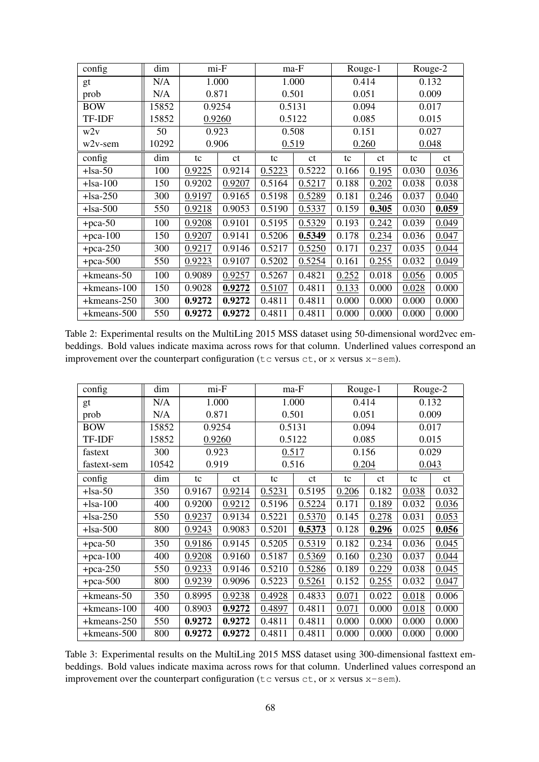| config      | dim   | mi-F   |        | ma-F   |        | Rouge-1 |       | Rouge-2 |       |
|-------------|-------|--------|--------|--------|--------|---------|-------|---------|-------|
| gt          | N/A   | 1.000  |        | 1.000  |        | 0.414   |       | 0.132   |       |
| prob        | N/A   | 0.871  |        | 0.501  |        | 0.051   |       | 0.009   |       |
| <b>BOW</b>  | 15852 | 0.9254 |        | 0.5131 |        | 0.094   |       | 0.017   |       |
| TF-IDF      | 15852 | 0.9260 |        | 0.5122 |        | 0.085   |       | 0.015   |       |
| w2v         | 50    | 0.923  |        | 0.508  |        | 0.151   |       | 0.027   |       |
| $w2v$ -sem  | 10292 | 0.906  |        | 0.519  |        | 0.260   |       | 0.048   |       |
| config      | dim   | tc     | ct     | tc     | ct     | tc      | ct    | tc      | ct    |
| $+$ lsa-50  | 100   | 0.9225 | 0.9214 | 0.5223 | 0.5222 | 0.166   | 0.195 | 0.030   | 0.036 |
| $+$ lsa-100 | 150   | 0.9202 | 0.9207 | 0.5164 | 0.5217 | 0.188   | 0.202 | 0.038   | 0.038 |
| $+$ lsa-250 | 300   | 0.9197 | 0.9165 | 0.5198 | 0.5289 | 0.181   | 0.246 | 0.037   | 0.040 |
| $+$ lsa-500 | 550   | 0.9218 | 0.9053 | 0.5190 | 0.5337 | 0.159   | 0.305 | 0.030   | 0.059 |
| $+pca-50$   | 100   | 0.9208 | 0.9101 | 0.5195 | 0.5329 | 0.193   | 0.242 | 0.039   | 0.049 |
| $+pca-100$  | 150   | 0.9207 | 0.9141 | 0.5206 | 0.5349 | 0.178   | 0.234 | 0.036   | 0.047 |
| $+pca-250$  | 300   | 0.9217 | 0.9146 | 0.5217 | 0.5250 | 0.171   | 0.237 | 0.035   | 0.044 |
| $+$ pca-500 | 550   | 0.9223 | 0.9107 | 0.5202 | 0.5254 | 0.161   | 0.255 | 0.032   | 0.049 |
| +kmeans-50  | 100   | 0.9089 | 0.9257 | 0.5267 | 0.4821 | 0.252   | 0.018 | 0.056   | 0.005 |
| +kmeans-100 | 150   | 0.9028 | 0.9272 | 0.5107 | 0.4811 | 0.133   | 0.000 | 0.028   | 0.000 |
| +kmeans-250 | 300   | 0.9272 | 0.9272 | 0.4811 | 0.4811 | 0.000   | 0.000 | 0.000   | 0.000 |
| +kmeans-500 | 550   | 0.9272 | 0.9272 | 0.4811 | 0.4811 | 0.000   | 0.000 | 0.000   | 0.000 |

<span id="page-5-0"></span>Table 2: Experimental results on the MultiLing 2015 MSS dataset using 50-dimensional word2vec embeddings. Bold values indicate maxima across rows for that column. Underlined values correspond an improvement over the counterpart configuration ( $tc$  versus  $ct$ , or  $x$  versus  $x$ -sem).

| config         | dim   | mi-F   |        | ma-F   |        | Rouge-1 |       | Rouge-2 |       |
|----------------|-------|--------|--------|--------|--------|---------|-------|---------|-------|
| gt             | N/A   | 1.000  |        | 1.000  |        | 0.414   |       | 0.132   |       |
| prob           | N/A   | 0.871  |        | 0.501  |        | 0.051   |       | 0.009   |       |
| <b>BOW</b>     | 15852 | 0.9254 |        | 0.5131 |        | 0.094   |       | 0.017   |       |
| TF-IDF         | 15852 | 0.9260 |        | 0.5122 |        | 0.085   |       | 0.015   |       |
| fastext        | 300   | 0.923  |        | 0.517  |        | 0.156   |       | 0.029   |       |
| fastext-sem    | 10542 | 0.919  |        | 0.516  |        | 0.204   |       | 0.043   |       |
| config         | dim   | tc     | ct     | tc     | ct     | tc      | ct    | tc      | ct    |
| $+$ lsa-50     | 350   | 0.9167 | 0.9214 | 0.5231 | 0.5195 | 0.206   | 0.182 | 0.038   | 0.032 |
| $+$ lsa-100    | 400   | 0.9200 | 0.9212 | 0.5196 | 0.5224 | 0.171   | 0.189 | 0.032   | 0.036 |
| $+$ lsa-250    | 550   | 0.9237 | 0.9134 | 0.5221 | 0.5370 | 0.145   | 0.278 | 0.031   | 0.053 |
| $+$ lsa $-500$ | 800   | 0.9243 | 0.9083 | 0.5201 | 0.5373 | 0.128   | 0.296 | 0.025   | 0.056 |
| $+pca-50$      | 350   | 0.9186 | 0.9145 | 0.5205 | 0.5319 | 0.182   | 0.234 | 0.036   | 0.045 |
| $+$ pca-100    | 400   | 0.9208 | 0.9160 | 0.5187 | 0.5369 | 0.160   | 0.230 | 0.037   | 0.044 |
| $+$ pca-250    | 550   | 0.9233 | 0.9146 | 0.5210 | 0.5286 | 0.189   | 0.229 | 0.038   | 0.045 |
| $+$ pca-500    | 800   | 0.9239 | 0.9096 | 0.5223 | 0.5261 | 0.152   | 0.255 | 0.032   | 0.047 |
| +kmeans-50     | 350   | 0.8995 | 0.9238 | 0.4928 | 0.4833 | 0.071   | 0.022 | 0.018   | 0.006 |
| +kmeans-100    | 400   | 0.8903 | 0.9272 | 0.4897 | 0.4811 | 0.071   | 0.000 | 0.018   | 0.000 |
| +kmeans-250    | 550   | 0.9272 | 0.9272 | 0.4811 | 0.4811 | 0.000   | 0.000 | 0.000   | 0.000 |
| +kmeans-500    | 800   | 0.9272 | 0.9272 | 0.4811 | 0.4811 | 0.000   | 0.000 | 0.000   | 0.000 |

<span id="page-5-1"></span>Table 3: Experimental results on the MultiLing 2015 MSS dataset using 300-dimensional fasttext embeddings. Bold values indicate maxima across rows for that column. Underlined values correspond an improvement over the counterpart configuration ( $tc$  versus  $ct$ , or x versus  $x$ -sem).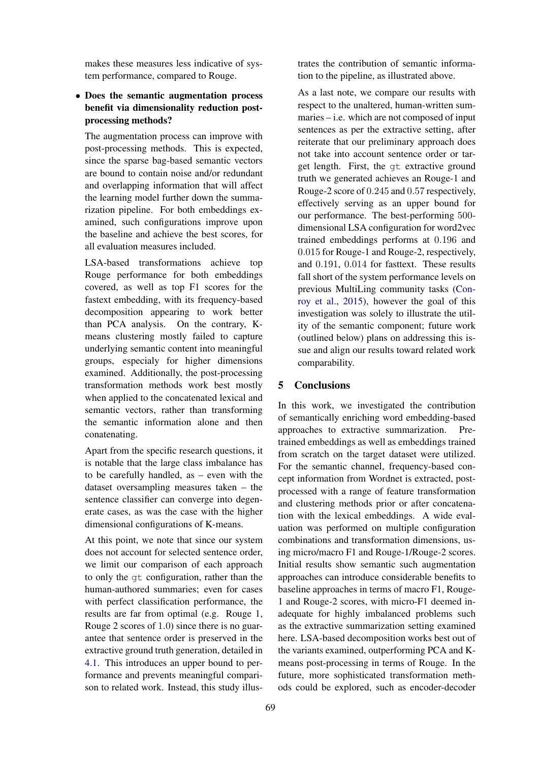makes these measures less indicative of system performance, compared to Rouge.

# • Does the semantic augmentation process benefit via dimensionality reduction postprocessing methods?

The augmentation process can improve with post-processing methods. This is expected, since the sparse bag-based semantic vectors are bound to contain noise and/or redundant and overlapping information that will affect the learning model further down the summarization pipeline. For both embeddings examined, such configurations improve upon the baseline and achieve the best scores, for all evaluation measures included.

LSA-based transformations achieve top Rouge performance for both embeddings covered, as well as top F1 scores for the fastext embedding, with its frequency-based decomposition appearing to work better than PCA analysis. On the contrary, Kmeans clustering mostly failed to capture underlying semantic content into meaningful groups, especialy for higher dimensions examined. Additionally, the post-processing transformation methods work best mostly when applied to the concatenated lexical and semantic vectors, rather than transforming the semantic information alone and then conatenating.

Apart from the specific research questions, it is notable that the large class imbalance has to be carefully handled, as – even with the dataset oversampling measures taken – the sentence classifier can converge into degenerate cases, as was the case with the higher dimensional configurations of K-means.

At this point, we note that since our system does not account for selected sentence order, we limit our comparison of each approach to only the gt configuration, rather than the human-authored summaries; even for cases with perfect classification performance, the results are far from optimal (e.g. Rouge 1, Rouge 2 scores of 1.0) since there is no guarantee that sentence order is preserved in the extractive ground truth generation, detailed in [4.1.](#page-2-3) This introduces an upper bound to performance and prevents meaningful comparison to related work. Instead, this study illustrates the contribution of semantic information to the pipeline, as illustrated above.

As a last note, we compare our results with respect to the unaltered, human-written summaries – i.e. which are not composed of input sentences as per the extractive setting, after reiterate that our preliminary approach does not take into account sentence order or target length. First, the gt extractive ground truth we generated achieves an Rouge-1 and Rouge-2 score of 0.245 and 0.57 respectively, effectively serving as an upper bound for our performance. The best-performing 500 dimensional LSA configuration for word2vec trained embeddings performs at 0.196 and 0.015 for Rouge-1 and Rouge-2, respectively, and 0.191, 0.014 for fasttext. These results fall short of the system performance levels on previous MultiLing community tasks [\(Con](#page-7-14)[roy et al.,](#page-7-14) [2015\)](#page-7-14), however the goal of this investigation was solely to illustrate the utility of the semantic component; future work (outlined below) plans on addressing this issue and align our results toward related work comparability.

# <span id="page-6-0"></span>5 Conclusions

In this work, we investigated the contribution of semantically enriching word embedding-based approaches to extractive summarization. Pretrained embeddings as well as embeddings trained from scratch on the target dataset were utilized. For the semantic channel, frequency-based concept information from Wordnet is extracted, postprocessed with a range of feature transformation and clustering methods prior or after concatenation with the lexical embeddings. A wide evaluation was performed on multiple configuration combinations and transformation dimensions, using micro/macro F1 and Rouge-1/Rouge-2 scores. Initial results show semantic such augmentation approaches can introduce considerable benefits to baseline approaches in terms of macro F1, Rouge-1 and Rouge-2 scores, with micro-F1 deemed inadequate for highly imbalanced problems such as the extractive summarization setting examined here. LSA-based decomposition works best out of the variants examined, outperforming PCA and Kmeans post-processing in terms of Rouge. In the future, more sophisticated transformation methods could be explored, such as encoder-decoder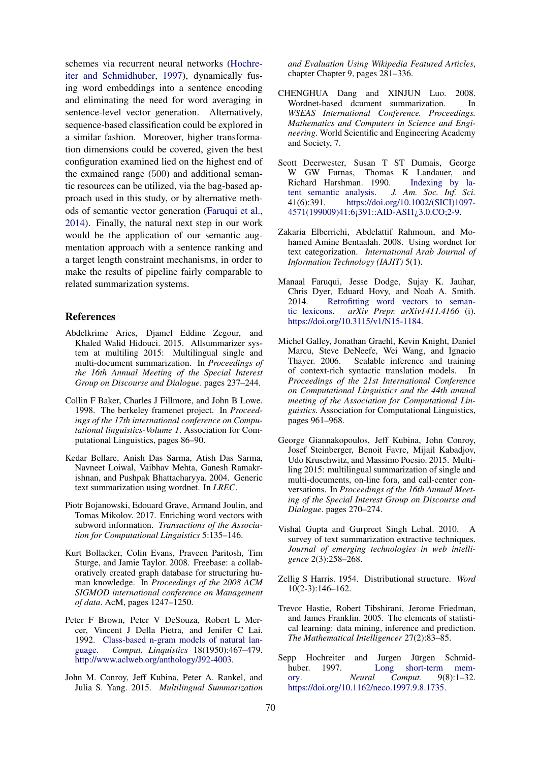schemes via recurrent neural networks [\(Hochre](#page-7-15)[iter and Schmidhuber,](#page-7-15) [1997\)](#page-7-15), dynamically fusing word embeddings into a sentence encoding and eliminating the need for word averaging in sentence-level vector generation. Alternatively, sequence-based classification could be explored in a similar fashion. Moreover, higher transformation dimensions could be covered, given the best configuration examined lied on the highest end of the exmained range (500) and additional semantic resources can be utilized, via the bag-based approach used in this study, or by alternative methods of semantic vector generation [\(Faruqui et al.,](#page-7-16) [2014\)](#page-7-16). Finally, the natural next step in our work would be the application of our semantic augmentation approach with a sentence ranking and a target length constraint mechanisms, in order to make the results of pipeline fairly comparable to related summarization systems.

### References

- <span id="page-7-7"></span>Abdelkrime Aries, Djamel Eddine Zegour, and Khaled Walid Hidouci. 2015. Allsummarizer system at multiling 2015: Multilingual single and multi-document summarization. In *Proceedings of the 16th Annual Meeting of the Special Interest Group on Discourse and Dialogue*. pages 237–244.
- <span id="page-7-9"></span>Collin F Baker, Charles J Fillmore, and John B Lowe. 1998. The berkeley framenet project. In *Proceedings of the 17th international conference on Computational linguistics-Volume 1*. Association for Computational Linguistics, pages 86–90.
- <span id="page-7-12"></span>Kedar Bellare, Anish Das Sarma, Atish Das Sarma, Navneet Loiwal, Vaibhav Mehta, Ganesh Ramakrishnan, and Pushpak Bhattacharyya. 2004. Generic text summarization using wordnet. In *LREC*.
- <span id="page-7-4"></span>Piotr Bojanowski, Edouard Grave, Armand Joulin, and Tomas Mikolov. 2017. Enriching word vectors with subword information. *Transactions of the Association for Computational Linguistics* 5:135–146.
- <span id="page-7-8"></span>Kurt Bollacker, Colin Evans, Praveen Paritosh, Tim Sturge, and Jamie Taylor. 2008. Freebase: a collaboratively created graph database for structuring human knowledge. In *Proceedings of the 2008 ACM SIGMOD international conference on Management of data*. AcM, pages 1247–1250.
- <span id="page-7-0"></span>Peter F Brown, Peter V DeSouza, Robert L Mercer, Vincent J Della Pietra, and Jenifer C Lai. 1992. [Class-based n-gram models of natural lan](http://www.aclweb.org/anthology/J92-4003)[guage.](http://www.aclweb.org/anthology/J92-4003) *Comput. Linquistics* 18(1950):467–479. [http://www.aclweb.org/anthology/J92-4003.](http://www.aclweb.org/anthology/J92-4003)
- <span id="page-7-14"></span>John M. Conroy, Jeff Kubina, Peter A. Rankel, and Julia S. Yang. 2015. *Multilingual Summarization*

*and Evaluation Using Wikipedia Featured Articles*, chapter Chapter 9, pages 281–336.

- <span id="page-7-10"></span>CHENGHUA Dang and XINJUN Luo. 2008. Wordnet-based dcument summarization. In *WSEAS International Conference. Proceedings. Mathematics and Computers in Science and Engineering*. World Scientific and Engineering Academy and Society, 7.
- <span id="page-7-3"></span>Scott Deerwester, Susan T ST Dumais, George W GW Furnas, Thomas K Landauer, and<br>Richard Harshman. 1990. Indexing by la-Richard Harshman. 1990. [tent semantic analysis.](https://doi.org/10.1002/(SICI)1097-4571(199009)41:6<391::AID-ASI1>3.0.CO;2-9) *J. Am. Soc. Inf. Sci.* 41(6):391. [https://doi.org/10.1002/\(SICI\)1097-](https://doi.org/10.1002/(SICI)1097-4571(199009)41:6<391::AID-ASI1>3.0.CO;2-9) [4571\(199009\)41:6¡391::AID-ASI1¿3.0.CO;2-9.](https://doi.org/10.1002/(SICI)1097-4571(199009)41:6<391::AID-ASI1>3.0.CO;2-9)
- <span id="page-7-11"></span>Zakaria Elberrichi, Abdelattif Rahmoun, and Mohamed Amine Bentaalah. 2008. Using wordnet for text categorization. *International Arab Journal of Information Technology (IAJIT)* 5(1).
- <span id="page-7-16"></span>Manaal Faruqui, Jesse Dodge, Sujay K. Jauhar, Chris Dyer, Eduard Hovy, and Noah A. Smith. 2014. [Retrofitting word vectors to seman](https://doi.org/10.3115/v1/N15-1184)[tic lexicons.](https://doi.org/10.3115/v1/N15-1184) *arXiv Prepr. arXiv1411.4166* (i). [https://doi.org/10.3115/v1/N15-1184.](https://doi.org/10.3115/v1/N15-1184)
- <span id="page-7-6"></span>Michel Galley, Jonathan Graehl, Kevin Knight, Daniel Marcu, Steve DeNeefe, Wei Wang, and Ignacio Thayer. 2006. Scalable inference and training of context-rich syntactic translation models. In *Proceedings of the 21st International Conference on Computational Linguistics and the 44th annual meeting of the Association for Computational Linguistics*. Association for Computational Linguistics, pages 961–968.
- <span id="page-7-13"></span>George Giannakopoulos, Jeff Kubina, John Conroy, Josef Steinberger, Benoit Favre, Mijail Kabadjov, Udo Kruschwitz, and Massimo Poesio. 2015. Multiling 2015: multilingual summarization of single and multi-documents, on-line fora, and call-center conversations. In *Proceedings of the 16th Annual Meeting of the Special Interest Group on Discourse and Dialogue*. pages 270–274.
- <span id="page-7-5"></span>Vishal Gupta and Gurpreet Singh Lehal. 2010. A survey of text summarization extractive techniques. *Journal of emerging technologies in web intelligence* 2(3):258–268.
- <span id="page-7-1"></span>Zellig S Harris. 1954. Distributional structure. *Word* 10(2-3):146–162.
- <span id="page-7-2"></span>Trevor Hastie, Robert Tibshirani, Jerome Friedman, and James Franklin. 2005. The elements of statistical learning: data mining, inference and prediction. *The Mathematical Intelligencer* 27(2):83–85.
- <span id="page-7-15"></span>Sepp Hochreiter and Jurgen Jürgen Schmid-<br>
huber. 1997. Long short-term mem-[Long short-term mem](https://doi.org/10.1162/neco.1997.9.8.1735)[ory.](https://doi.org/10.1162/neco.1997.9.8.1735) *Neural Comput.* 9(8):1–32. [https://doi.org/10.1162/neco.1997.9.8.1735.](https://doi.org/10.1162/neco.1997.9.8.1735)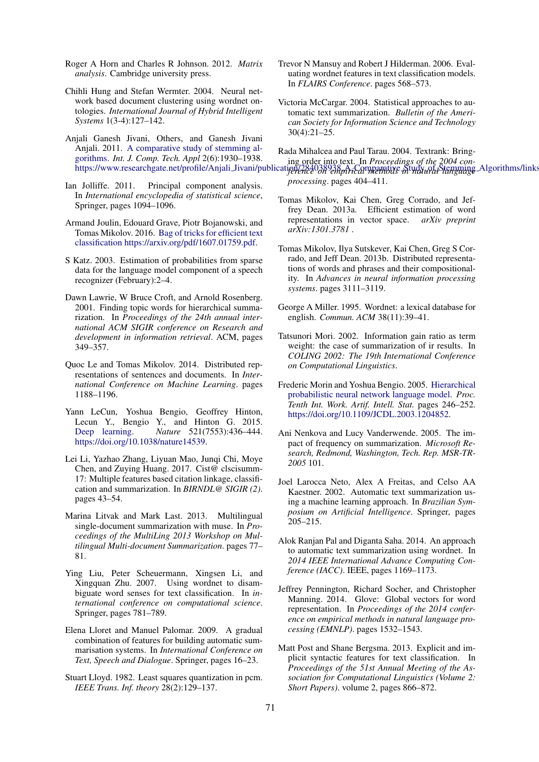- <span id="page-8-5"></span>Roger A Horn and Charles R Johnson. 2012. *Matrix analysis*. Cambridge university press.
- <span id="page-8-22"></span>Chihli Hung and Stefan Wermter. 2004. Neural network based document clustering using wordnet ontologies. *International Journal of Hybrid Intelligent Systems* 1(3-4):127–142.
- <span id="page-8-1"></span>Anjali Ganesh Jivani, Others, and Ganesh Jivani Anjali. 2011. [A comparative study of stemming al](https://www.researchgate.net/profile/Anjali{_}Jivani/publication/284038938{_}A{_}Comparative{_}Study{_}of{_}Stemming{_}Algorithms/links/56ef8c3008aed17d09f87abd.pdf)[gorithms.](https://www.researchgate.net/profile/Anjali{_}Jivani/publication/284038938{_}A{_}Comparative{_}Study{_}of{_}Stemming{_}Algorithms/links/56ef8c3008aed17d09f87abd.pdf) *Int. J. Comp. Tech. Appl* 2(6):1930–1938.
- <span id="page-8-4"></span>Ian Jolliffe. 2011. Principal component analysis. In *International encyclopedia of statistical science*, Springer, pages 1094–1096.
- <span id="page-8-20"></span>Armand Joulin, Edouard Grave, Piotr Bojanowski, and Tomas Mikolov. 2016. [Bag of tricks for efficient text](https://arxiv.org/pdf/1607.01759.pdf) [classification](https://arxiv.org/pdf/1607.01759.pdf) [https://arxiv.org/pdf/1607.01759.pdf.](https://arxiv.org/pdf/1607.01759.pdf)
- <span id="page-8-2"></span>S Katz. 2003. Estimation of probabilities from sparse data for the language model component of a speech recognizer (February):2–4.
- <span id="page-8-14"></span>Dawn Lawrie, W Bruce Croft, and Arnold Rosenberg. 2001. Finding topic words for hierarchical summarization. In *Proceedings of the 24th annual international ACM SIGIR conference on Research and development in information retrieval*. ACM, pages 349–357.
- <span id="page-8-21"></span>Quoc Le and Tomas Mikolov. 2014. Distributed representations of sentences and documents. In *International Conference on Machine Learning*. pages 1188–1196.
- <span id="page-8-0"></span>Yann LeCun, Yoshua Bengio, Geoffrey Hinton, Lecun Y., Bengio Y., and Hinton G. 2015. [Deep learning.](https://doi.org/10.1038/nature14539) *Nature* 521(7553):436–444. [https://doi.org/10.1038/nature14539.](https://doi.org/10.1038/nature14539)
- <span id="page-8-19"></span>Lei Li, Yazhao Zhang, Liyuan Mao, Junqi Chi, Moye Chen, and Zuying Huang. 2017. Cist@ clscisumm-17: Multiple features based citation linkage, classification and summarization. In *BIRNDL@ SIGIR (2)*. pages 43–54.
- <span id="page-8-15"></span>Marina Litvak and Mark Last. 2013. Multilingual single-document summarization with muse. In *Proceedings of the MultiLing 2013 Workshop on Multilingual Multi-document Summarization*. pages 77– 81.
- <span id="page-8-23"></span>Ying Liu, Peter Scheuermann, Xingsen Li, and Xingquan Zhu. 2007. Using wordnet to disambiguate word senses for text classification. In *international conference on computational science*. Springer, pages 781–789.
- <span id="page-8-12"></span>Elena Lloret and Manuel Palomar. 2009. A gradual combination of features for building automatic summarisation systems. In *International Conference on Text, Speech and Dialogue*. Springer, pages 16–23.
- <span id="page-8-26"></span>Stuart Lloyd. 1982. Least squares quantization in pcm. *IEEE Trans. Inf. theory* 28(2):129–137.
- <span id="page-8-18"></span>Trevor N Mansuy and Robert J Hilderman. 2006. Evaluating wordnet features in text classification models. In *FLAIRS Conference*. pages 568–573.
- <span id="page-8-16"></span><span id="page-8-10"></span>Victoria McCargar. 2004. Statistical approaches to automatic text summarization. *Bulletin of the American Society for Information Science and Technology* 30(4):21–25.

https://www.researchgate.net/profile/Anjali\_Jivani/publication/284038938*pdical methods in maural Stemming* Algorithms/links Rada Mihalcea and Paul Tarau. 2004. Textrank: Bringing order into text. In *Proceedings of the 2004 conprocessing*. pages 404–411.

- <span id="page-8-6"></span>Tomas Mikolov, Kai Chen, Greg Corrado, and Jeffrey Dean. 2013a. Efficient estimation of word representations in vector space. *arXiv preprint arXiv:1301.3781* .
- <span id="page-8-7"></span>Tomas Mikolov, Ilya Sutskever, Kai Chen, Greg S Corrado, and Jeff Dean. 2013b. Distributed representations of words and phrases and their compositionality. In *Advances in neural information processing systems*. pages 3111–3119.
- <span id="page-8-17"></span>George A Miller. 1995. Wordnet: a lexical database for english. *Commun. ACM* 38(11):39–41.
- <span id="page-8-9"></span>Tatsunori Mori. 2002. Information gain ratio as term weight: the case of summarization of ir results. In *COLING 2002: The 19th International Conference on Computational Linguistics*.
- <span id="page-8-24"></span>Frederic Morin and Yoshua Bengio. 2005. [Hierarchical](https://doi.org/10.1109/JCDL.2003.1204852) [probabilistic neural network language model.](https://doi.org/10.1109/JCDL.2003.1204852) *Proc. Tenth Int. Work. Artif. Intell. Stat.* pages 246–252. [https://doi.org/10.1109/JCDL.2003.1204852.](https://doi.org/10.1109/JCDL.2003.1204852)
- <span id="page-8-11"></span>Ani Nenkova and Lucy Vanderwende. 2005. The impact of frequency on summarization. *Microsoft Research, Redmond, Washington, Tech. Rep. MSR-TR-2005* 101.
- <span id="page-8-13"></span>Joel Larocca Neto, Alex A Freitas, and Celso AA Kaestner. 2002. Automatic text summarization using a machine learning approach. In *Brazilian Symposium on Artificial Intelligence*. Springer, pages 205–215.
- <span id="page-8-25"></span>Alok Ranjan Pal and Diganta Saha. 2014. An approach to automatic text summarization using wordnet. In *2014 IEEE International Advance Computing Conference (IACC)*. IEEE, pages 1169–1173.
- <span id="page-8-8"></span>Jeffrey Pennington, Richard Socher, and Christopher Manning. 2014. Glove: Global vectors for word representation. In *Proceedings of the 2014 conference on empirical methods in natural language processing (EMNLP)*. pages 1532–1543.
- <span id="page-8-3"></span>Matt Post and Shane Bergsma. 2013. Explicit and implicit syntactic features for text classification. In *Proceedings of the 51st Annual Meeting of the Association for Computational Linguistics (Volume 2: Short Papers)*. volume 2, pages 866–872.